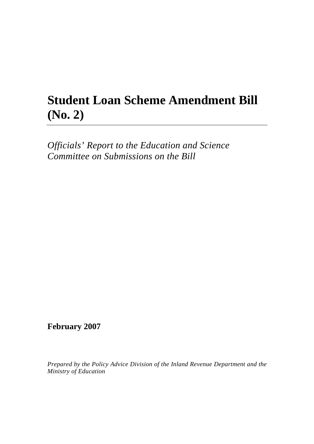# **Student Loan Scheme Amendment Bill (No. 2)**

*Officials' Report to the Education and Science Committee on Submissions on the Bill* 

**February 2007** 

*Prepared by the Policy Advice Division of the Inland Revenue Department and the Ministry of Education*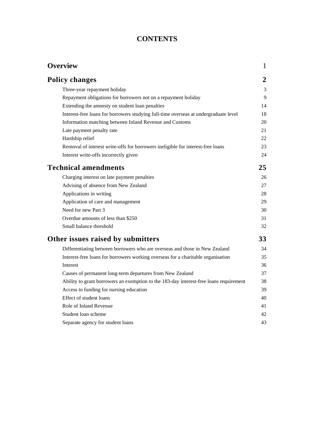# **CONTENTS**

| <b>Overview</b>                                                                        | $\mathbf{1}$ |
|----------------------------------------------------------------------------------------|--------------|
| <b>Policy changes</b>                                                                  | 2            |
| Three-year repayment holiday                                                           | 3            |
| Repayment obligations for borrowers not on a repayment holiday                         | 9            |
| Extending the amnesty on student loan penalties                                        | 14           |
| Interest-free loans for borrowers studying full-time overseas at undergraduate level   | 18           |
| Information matching between Inland Revenue and Customs                                | 20           |
| Late payment penalty rate                                                              | 21           |
| Hardship relief                                                                        | 22           |
| Removal of interest write-offs for borrowers ineligible for interest-free loans        | 23           |
| Interest write-offs incorrectly given                                                  | 24           |
| <b>Technical amendments</b>                                                            | 25           |
| Charging interest on late payment penalties                                            | 26           |
| Advising of absence from New Zealand                                                   | 27           |
| Applications in writing                                                                | 28           |
| Application of care and management                                                     | 29           |
| Need for new Part 3                                                                    | 30           |
| Overdue amounts of less than \$250                                                     | 31           |
| Small balance threshold                                                                | 32           |
| Other issues raised by submitters                                                      | 33           |
| Differentiating between borrowers who are overseas and those in New Zealand            | 34           |
| Interest-free loans for borrowers working overseas for a charitable organisation       | 35           |
| <b>Interest</b>                                                                        | 36           |
| Causes of permanent long-term departures from New Zealand                              | 37           |
| Ability to grant borrowers an exemption to the 183-day interest-free loans requirement | 38           |
| Access to funding for nursing education                                                | 39           |
| Effect of student loans                                                                | 40           |
| Role of Inland Revenue                                                                 | 41           |
| Student loan scheme                                                                    | 42           |
| Separate agency for student loans                                                      | 43           |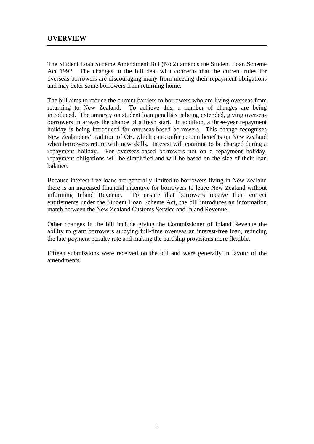The Student Loan Scheme Amendment Bill (No.2) amends the Student Loan Scheme Act 1992. The changes in the bill deal with concerns that the current rules for overseas borrowers are discouraging many from meeting their repayment obligations and may deter some borrowers from returning home.

The bill aims to reduce the current barriers to borrowers who are living overseas from returning to New Zealand. To achieve this, a number of changes are being introduced. The amnesty on student loan penalties is being extended, giving overseas borrowers in arrears the chance of a fresh start. In addition, a three-year repayment holiday is being introduced for overseas-based borrowers. This change recognises New Zealanders' tradition of OE, which can confer certain benefits on New Zealand when borrowers return with new skills. Interest will continue to be charged during a repayment holiday. For overseas-based borrowers not on a repayment holiday, repayment obligations will be simplified and will be based on the size of their loan balance.

Because interest-free loans are generally limited to borrowers living in New Zealand there is an increased financial incentive for borrowers to leave New Zealand without informing Inland Revenue. To ensure that borrowers receive their correct entitlements under the Student Loan Scheme Act, the bill introduces an information match between the New Zealand Customs Service and Inland Revenue.

Other changes in the bill include giving the Commissioner of Inland Revenue the ability to grant borrowers studying full-time overseas an interest-free loan, reducing the late-payment penalty rate and making the hardship provisions more flexible.

Fifteen submissions were received on the bill and were generally in favour of the amendments.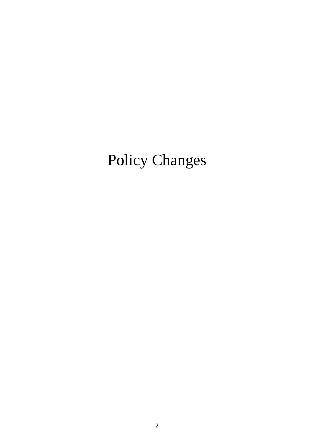# Policy Changes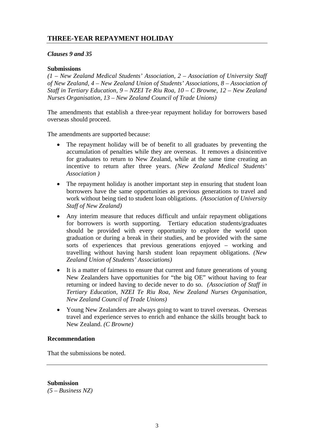# **THREE-YEAR REPAYMENT HOLIDAY**

## *Clauses 9 and 35*

## **Submissions**

*(1 – New Zealand Medical Students' Association, 2 – Association of University Staff of New Zealand, 4 – New Zealand Union of Students' Associations, 8 – Association of Staff in Tertiary Education, 9 – NZEI Te Riu Roa, 10 – C Browne, 12 – New Zealand Nurses Organisation, 13 – New Zealand Council of Trade Unions)* 

The amendments that establish a three-year repayment holiday for borrowers based overseas should proceed.

The amendments are supported because:

- The repayment holiday will be of benefit to all graduates by preventing the accumulation of penalties while they are overseas. It removes a disincentive for graduates to return to New Zealand, while at the same time creating an incentive to return after three years. *(New Zealand Medical Students' Association )*
- The repayment holiday is another important step in ensuring that student loan borrowers have the same opportunities as previous generations to travel and work without being tied to student loan obligations. *(Association of University Staff of New Zealand)*
- Any interim measure that reduces difficult and unfair repayment obligations for borrowers is worth supporting. Tertiary education students/graduates should be provided with every opportunity to explore the world upon graduation or during a break in their studies, and be provided with the same sorts of experiences that previous generations enjoyed – working and travelling without having harsh student loan repayment obligations. *(New Zealand Union of Students' Associations)*
- It is a matter of fairness to ensure that current and future generations of young New Zealanders have opportunities for "the big OE" without having to fear returning or indeed having to decide never to do so. *(Association of Staff in Tertiary Education, NZEI Te Riu Roa, New Zealand Nurses Organisation, New Zealand Council of Trade Unions)*
- Young New Zealanders are always going to want to travel overseas. Overseas travel and experience serves to enrich and enhance the skills brought back to New Zealand. *(C Browne)*

#### **Recommendation**

That the submissions be noted.

**Submission**  *(5 – Business NZ)*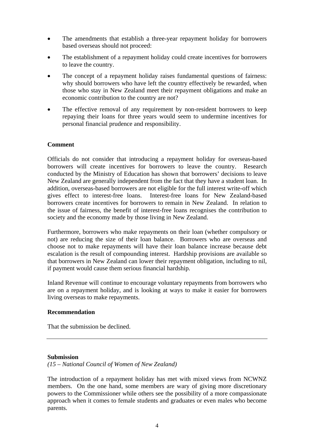- The amendments that establish a three-year repayment holiday for borrowers based overseas should not proceed:
- The establishment of a repayment holiday could create incentives for borrowers to leave the country.
- The concept of a repayment holiday raises fundamental questions of fairness: why should borrowers who have left the country effectively be rewarded, when those who stay in New Zealand meet their repayment obligations and make an economic contribution to the country are not?
- The effective removal of any requirement by non-resident borrowers to keep repaying their loans for three years would seem to undermine incentives for personal financial prudence and responsibility.

## **Comment**

Officials do not consider that introducing a repayment holiday for overseas-based borrowers will create incentives for borrowers to leave the country. Research conducted by the Ministry of Education has shown that borrowers' decisions to leave New Zealand are generally independent from the fact that they have a student loan. In addition, overseas-based borrowers are not eligible for the full interest write-off which gives effect to interest-free loans. Interest-free loans for New Zealand-based borrowers create incentives for borrowers to remain in New Zealand. In relation to the issue of fairness, the benefit of interest-free loans recognises the contribution to society and the economy made by those living in New Zealand.

Furthermore, borrowers who make repayments on their loan (whether compulsory or not) are reducing the size of their loan balance. Borrowers who are overseas and choose not to make repayments will have their loan balance increase because debt escalation is the result of compounding interest. Hardship provisions are available so that borrowers in New Zealand can lower their repayment obligation, including to nil, if payment would cause them serious financial hardship.

Inland Revenue will continue to encourage voluntary repayments from borrowers who are on a repayment holiday, and is looking at ways to make it easier for borrowers living overseas to make repayments.

## **Recommendation**

That the submission be declined.

#### **Submission**

*(15 – National Council of Women of New Zealand)* 

The introduction of a repayment holiday has met with mixed views from NCWNZ members. On the one hand, some members are wary of giving more discretionary powers to the Commissioner while others see the possibility of a more compassionate approach when it comes to female students and graduates or even males who become parents.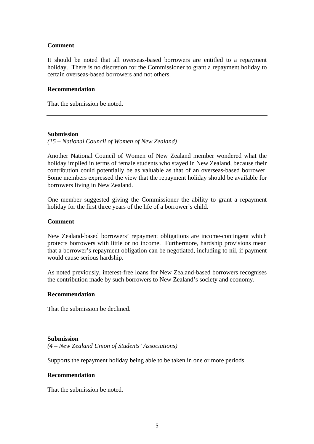## **Comment**

It should be noted that all overseas-based borrowers are entitled to a repayment holiday. There is no discretion for the Commissioner to grant a repayment holiday to certain overseas-based borrowers and not others.

#### **Recommendation**

That the submission be noted.

#### **Submission**

*(15 – National Council of Women of New Zealand)* 

Another National Council of Women of New Zealand member wondered what the holiday implied in terms of female students who stayed in New Zealand, because their contribution could potentially be as valuable as that of an overseas-based borrower. Some members expressed the view that the repayment holiday should be available for borrowers living in New Zealand.

One member suggested giving the Commissioner the ability to grant a repayment holiday for the first three years of the life of a borrower's child.

#### **Comment**

New Zealand-based borrowers' repayment obligations are income-contingent which protects borrowers with little or no income. Furthermore, hardship provisions mean that a borrower's repayment obligation can be negotiated, including to nil, if payment would cause serious hardship.

As noted previously, interest-free loans for New Zealand-based borrowers recognises the contribution made by such borrowers to New Zealand's society and economy.

## **Recommendation**

That the submission be declined.

#### **Submission**

*(4 – New Zealand Union of Students' Associations)* 

Supports the repayment holiday being able to be taken in one or more periods.

#### **Recommendation**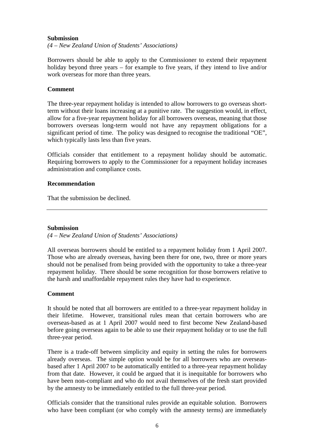#### **Submission**

*(4 – New Zealand Union of Students' Associations)* 

Borrowers should be able to apply to the Commissioner to extend their repayment holiday beyond three years – for example to five years, if they intend to live and/or work overseas for more than three years.

## **Comment**

The three-year repayment holiday is intended to allow borrowers to go overseas shortterm without their loans increasing at a punitive rate. The suggestion would, in effect, allow for a five-year repayment holiday for all borrowers overseas, meaning that those borrowers overseas long-term would not have any repayment obligations for a significant period of time. The policy was designed to recognise the traditional "OE", which typically lasts less than five years.

Officials consider that entitlement to a repayment holiday should be automatic. Requiring borrowers to apply to the Commissioner for a repayment holiday increases administration and compliance costs.

#### **Recommendation**

That the submission be declined.

## **Submission**

*(4 – New Zealand Union of Students' Associations)* 

All overseas borrowers should be entitled to a repayment holiday from 1 April 2007. Those who are already overseas, having been there for one, two, three or more years should not be penalised from being provided with the opportunity to take a three-year repayment holiday. There should be some recognition for those borrowers relative to the harsh and unaffordable repayment rules they have had to experience.

## **Comment**

It should be noted that all borrowers are entitled to a three-year repayment holiday in their lifetime. However, transitional rules mean that certain borrowers who are overseas-based as at 1 April 2007 would need to first become New Zealand-based before going overseas again to be able to use their repayment holiday or to use the full three-year period.

There is a trade-off between simplicity and equity in setting the rules for borrowers already overseas. The simple option would be for all borrowers who are overseasbased after 1 April 2007 to be automatically entitled to a three-year repayment holiday from that date. However, it could be argued that it is inequitable for borrowers who have been non-compliant and who do not avail themselves of the fresh start provided by the amnesty to be immediately entitled to the full three-year period.

Officials consider that the transitional rules provide an equitable solution. Borrowers who have been compliant (or who comply with the amnesty terms) are immediately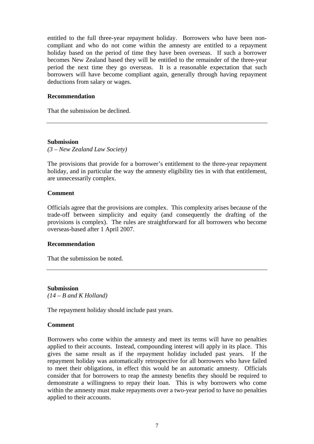entitled to the full three-year repayment holiday. Borrowers who have been noncompliant and who do not come within the amnesty are entitled to a repayment holiday based on the period of time they have been overseas. If such a borrower becomes New Zealand based they will be entitled to the remainder of the three-year period the next time they go overseas. It is a reasonable expectation that such borrowers will have become compliant again, generally through having repayment deductions from salary or wages.

#### **Recommendation**

That the submission be declined.

**Submission**  *(3 – New Zealand Law Society)* 

The provisions that provide for a borrower's entitlement to the three-year repayment holiday, and in particular the way the amnesty eligibility ties in with that entitlement, are unnecessarily complex.

#### **Comment**

Officials agree that the provisions are complex. This complexity arises because of the trade-off between simplicity and equity (and consequently the drafting of the provisions is complex). The rules are straightforward for all borrowers who become overseas-based after 1 April 2007.

#### **Recommendation**

That the submission be noted.

**Submission**  *(14 – B and K Holland)* 

The repayment holiday should include past years.

## **Comment**

Borrowers who come within the amnesty and meet its terms will have no penalties applied to their accounts. Instead, compounding interest will apply in its place. This gives the same result as if the repayment holiday included past years. If the repayment holiday was automatically retrospective for all borrowers who have failed to meet their obligations, in effect this would be an automatic amnesty. Officials consider that for borrowers to reap the amnesty benefits they should be required to demonstrate a willingness to repay their loan. This is why borrowers who come within the amnesty must make repayments over a two-year period to have no penalties applied to their accounts.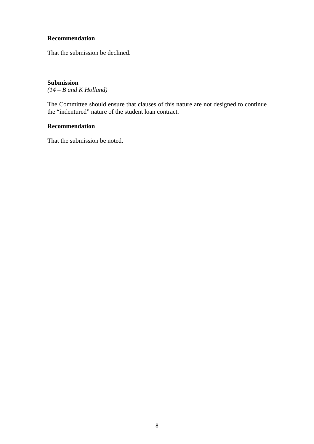## **Recommendation**

That the submission be declined.

## **Submission**

*(14 – B and K Holland)* 

The Committee should ensure that clauses of this nature are not designed to continue the "indentured" nature of the student loan contract.

## **Recommendation**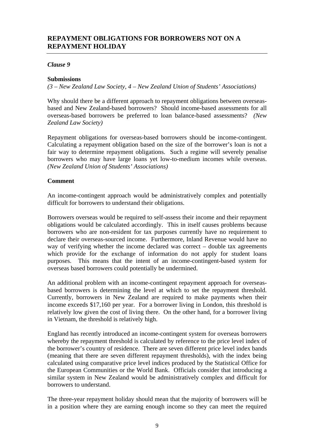## *Clause 9*

## **Submissions**

*(3 – New Zealand Law Society, 4 – New Zealand Union of Students' Associations)* 

Why should there be a different approach to repayment obligations between overseasbased and New Zealand-based borrowers? Should income-based assessments for all overseas-based borrowers be preferred to loan balance-based assessments? *(New Zealand Law Society)* 

Repayment obligations for overseas-based borrowers should be income-contingent. Calculating a repayment obligation based on the size of the borrower's loan is not a fair way to determine repayment obligations. Such a regime will severely penalise borrowers who may have large loans yet low-to-medium incomes while overseas. *(New Zealand Union of Students' Associations)* 

## **Comment**

An income-contingent approach would be administratively complex and potentially difficult for borrowers to understand their obligations.

Borrowers overseas would be required to self-assess their income and their repayment obligations would be calculated accordingly. This in itself causes problems because borrowers who are non-resident for tax purposes currently have no requirement to declare their overseas-sourced income. Furthermore, Inland Revenue would have no way of verifying whether the income declared was correct – double tax agreements which provide for the exchange of information do not apply for student loans purposes. This means that the intent of an income-contingent-based system for overseas based borrowers could potentially be undermined.

An additional problem with an income-contingent repayment approach for overseasbased borrowers is determining the level at which to set the repayment threshold. Currently, borrowers in New Zealand are required to make payments when their income exceeds \$17,160 per year. For a borrower living in London, this threshold is relatively low given the cost of living there. On the other hand, for a borrower living in Vietnam, the threshold is relatively high.

England has recently introduced an income-contingent system for overseas borrowers whereby the repayment threshold is calculated by reference to the price level index of the borrower's country of residence. There are seven different price level index bands (meaning that there are seven different repayment thresholds), with the index being calculated using comparative price level indices produced by the Statistical Office for the European Communities or the World Bank. Officials consider that introducing a similar system in New Zealand would be administratively complex and difficult for borrowers to understand.

The three-year repayment holiday should mean that the majority of borrowers will be in a position where they are earning enough income so they can meet the required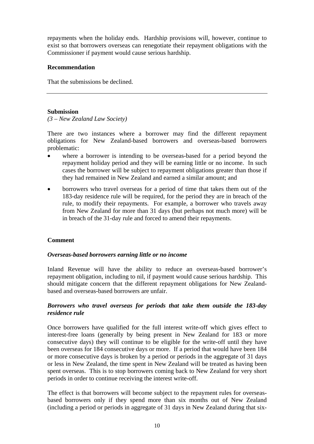repayments when the holiday ends. Hardship provisions will, however, continue to exist so that borrowers overseas can renegotiate their repayment obligations with the Commissioner if payment would cause serious hardship.

## **Recommendation**

That the submissions be declined.

## **Submission**

*(3 – New Zealand Law Society)* 

There are two instances where a borrower may find the different repayment obligations for New Zealand-based borrowers and overseas-based borrowers problematic:

- where a borrower is intending to be overseas-based for a period beyond the repayment holiday period and they will be earning little or no income. In such cases the borrower will be subject to repayment obligations greater than those if they had remained in New Zealand and earned a similar amount; and
- borrowers who travel overseas for a period of time that takes them out of the 183-day residence rule will be required, for the period they are in breach of the rule, to modify their repayments. For example, a borrower who travels away from New Zealand for more than 31 days (but perhaps not much more) will be in breach of the 31-day rule and forced to amend their repayments.

## **Comment**

## *Overseas-based borrowers earning little or no income*

Inland Revenue will have the ability to reduce an overseas-based borrower's repayment obligation, including to nil, if payment would cause serious hardship. This should mitigate concern that the different repayment obligations for New Zealandbased and overseas-based borrowers are unfair.

## *Borrowers who travel overseas for periods that take them outside the 183-day residence rule*

Once borrowers have qualified for the full interest write-off which gives effect to interest-free loans (generally by being present in New Zealand for 183 or more consecutive days) they will continue to be eligible for the write-off until they have been overseas for 184 consecutive days or more. If a period that would have been 184 or more consecutive days is broken by a period or periods in the aggregate of 31 days or less in New Zealand, the time spent in New Zealand will be treated as having been spent overseas. This is to stop borrowers coming back to New Zealand for very short periods in order to continue receiving the interest write-off.

The effect is that borrowers will become subject to the repayment rules for overseasbased borrowers only if they spend more than six months out of New Zealand (including a period or periods in aggregate of 31 days in New Zealand during that six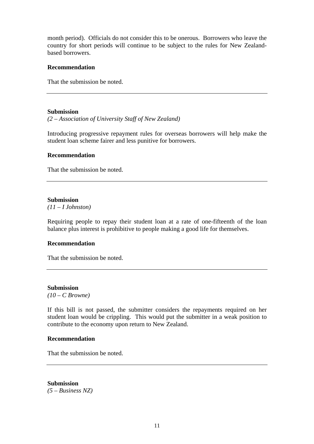month period). Officials do not consider this to be onerous. Borrowers who leave the country for short periods will continue to be subject to the rules for New Zealandbased borrowers.

#### **Recommendation**

That the submission be noted.

#### **Submission**

*(2 – Association of University Staff of New Zealand)* 

Introducing progressive repayment rules for overseas borrowers will help make the student loan scheme fairer and less punitive for borrowers.

#### **Recommendation**

That the submission be noted.

#### **Submission**

*(11 – I Johnston)* 

Requiring people to repay their student loan at a rate of one-fifteenth of the loan balance plus interest is prohibitive to people making a good life for themselves.

#### **Recommendation**

That the submission be noted.

#### **Submission**

*(10 – C Browne)* 

If this bill is not passed, the submitter considers the repayments required on her student loan would be crippling. This would put the submitter in a weak position to contribute to the economy upon return to New Zealand.

#### **Recommendation**

That the submission be noted.

**Submission**  *(5 – Business NZ)*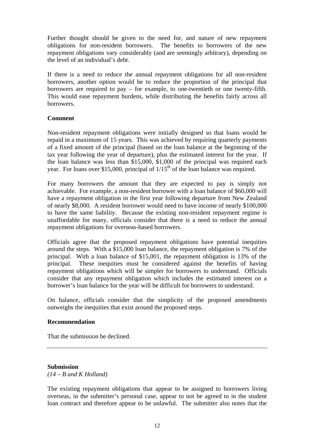Further thought should be given to the need for, and nature of new repayment obligations for non-resident borrowers. The benefits to borrowers of the new repayment obligations vary considerably (and are seemingly arbitrary), depending on the level of an individual's debt.

If there is a need to reduce the annual repayment obligations for all non-resident borrowers, another option would be to reduce the proportion of the principal that borrowers are required to pay – for example, to one-twentieth or one twenty-fifth. This would ease repayment burdens, while distributing the benefits fairly across all borrowers.

## **Comment**

Non-resident repayment obligations were initially designed so that loans would be repaid in a maximum of 15 years. This was achieved by requiring quarterly payments of a fixed amount of the principal (based on the loan balance at the beginning of the tax year following the year of departure), plus the estimated interest for the year. If the loan balance was less than \$15,000, \$1,000 of the principal was required each year. For loans over \$15,000, principal of  $1/15<sup>th</sup>$  of the loan balance was required.

For many borrowers the amount that they are expected to pay is simply not achievable. For example, a non-resident borrower with a loan balance of \$60,000 will have a repayment obligation in the first year following departure from New Zealand of nearly \$8,000. A resident borrower would need to have income of nearly \$100,000 to have the same liability. Because the existing non-resident repayment regime is unaffordable for many, officials consider that there is a need to reduce the annual repayment obligations for overseas-based borrowers.

Officials agree that the proposed repayment obligations have potential inequities around the steps. With a \$15,000 loan balance, the repayment obligation is 7% of the principal. With a loan balance of \$15,001, the repayment obligation is 13% of the principal. These inequities must be considered against the benefits of having repayment obligations which will be simpler for borrowers to understand. Officials consider that any repayment obligation which includes the estimated interest on a borrower's loan balance for the year will be difficult for borrowers to understand.

On balance, officials consider that the simplicity of the proposed amendments outweighs the inequities that exist around the proposed steps.

## **Recommendation**

That the submission be declined.

## **Submission**

*(14 – B and K Holland)* 

The existing repayment obligations that appear to be assigned to borrowers living overseas, in the submitter's personal case, appear to not be agreed to in the student loan contract and therefore appear to be unlawful. The submitter also notes that the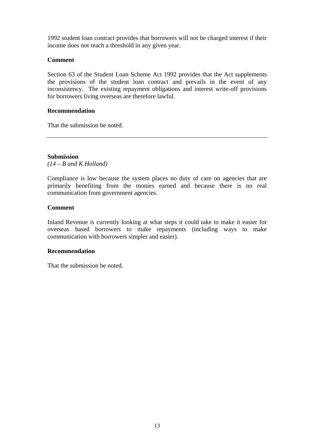1992 student loan contract provides that borrowers will not be charged interest if their income does not reach a threshold in any given year.

## **Comment**

Section 63 of the Student Loan Scheme Act 1992 provides that the Act supplements the provisions of the student loan contract and prevails in the event of any inconsistency. The existing repayment obligations and interest write-off provisions for borrowers living overseas are therefore lawful.

## **Recommendation**

That the submission be noted.

## **Submission**

*(14 – B and K Holland)* 

Compliance is low because the system places no duty of care on agencies that are primarily benefiting from the monies earned and because there is no real communication from government agencies.

## **Comment**

Inland Revenue is currently looking at what steps it could take to make it easier for overseas based borrowers to make repayments (including ways to make communication with borrowers simpler and easier).

## **Recommendation**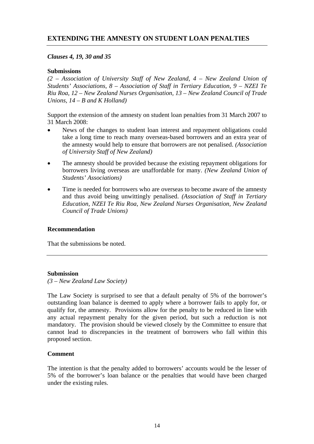# **EXTENDING THE AMNESTY ON STUDENT LOAN PENALTIES**

## *Clauses 4, 19, 30 and 35*

#### **Submissions**

*(2 – Association of University Staff of New Zealand, 4 – New Zealand Union of Students' Associations, 8 – Association of Staff in Tertiary Education, 9 – NZEI Te Riu Roa, 12 – New Zealand Nurses Organisation, 13 – New Zealand Council of Trade Unions, 14 – B and K Holland)* 

Support the extension of the amnesty on student loan penalties from 31 March 2007 to 31 March 2008:

- News of the changes to student loan interest and repayment obligations could take a long time to reach many overseas-based borrowers and an extra year of the amnesty would help to ensure that borrowers are not penalised. *(Association of University Staff of New Zealand)*
- The amnesty should be provided because the existing repayment obligations for borrowers living overseas are unaffordable for many. *(New Zealand Union of Students' Associations)*
- Time is needed for borrowers who are overseas to become aware of the amnesty and thus avoid being unwittingly penalised. *(Association of Staff in Tertiary Education, NZEI Te Riu Roa, New Zealand Nurses Organisation, New Zealand Council of Trade Unions)*

#### **Recommendation**

That the submissions be noted.

#### **Submission**

*(3 – New Zealand Law Society)* 

The Law Society is surprised to see that a default penalty of 5% of the borrower's outstanding loan balance is deemed to apply where a borrower fails to apply for, or qualify for, the amnesty. Provisions allow for the penalty to be reduced in line with any actual repayment penalty for the given period, but such a reduction is not mandatory. The provision should be viewed closely by the Committee to ensure that cannot lead to discrepancies in the treatment of borrowers who fall within this proposed section.

#### **Comment**

The intention is that the penalty added to borrowers' accounts would be the lesser of 5% of the borrower's loan balance or the penalties that would have been charged under the existing rules.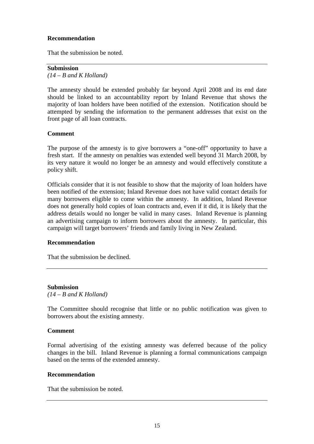## **Recommendation**

That the submission be noted.

## **Submission**

*(14 – B and K Holland)* 

The amnesty should be extended probably far beyond April 2008 and its end date should be linked to an accountability report by Inland Revenue that shows the majority of loan holders have been notified of the extension. Notification should be attempted by sending the information to the permanent addresses that exist on the front page of all loan contracts.

## **Comment**

The purpose of the amnesty is to give borrowers a "one-off" opportunity to have a fresh start. If the amnesty on penalties was extended well beyond 31 March 2008, by its very nature it would no longer be an amnesty and would effectively constitute a policy shift.

Officials consider that it is not feasible to show that the majority of loan holders have been notified of the extension; Inland Revenue does not have valid contact details for many borrowers eligible to come within the amnesty. In addition, Inland Revenue does not generally hold copies of loan contracts and, even if it did, it is likely that the address details would no longer be valid in many cases. Inland Revenue is planning an advertising campaign to inform borrowers about the amnesty. In particular, this campaign will target borrowers' friends and family living in New Zealand.

## **Recommendation**

That the submission be declined.

## **Submission**  *(14 – B and K Holland)*

The Committee should recognise that little or no public notification was given to borrowers about the existing amnesty.

## **Comment**

Formal advertising of the existing amnesty was deferred because of the policy changes in the bill. Inland Revenue is planning a formal communications campaign based on the terms of the extended amnesty.

## **Recommendation**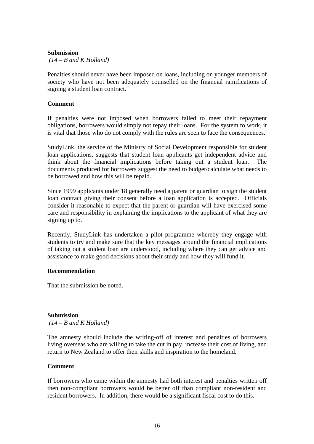## **Submission**

 *(14 – B and K Holland)* 

Penalties should never have been imposed on loans, including on younger members of society who have not been adequately counselled on the financial ramifications of signing a student loan contract.

## **Comment**

If penalties were not imposed when borrowers failed to meet their repayment obligations, borrowers would simply not repay their loans. For the system to work, it is vital that those who do not comply with the rules are seen to face the consequences.

StudyLink, the service of the Ministry of Social Development responsible for student loan applications, suggests that student loan applicants get independent advice and think about the financial implications before taking out a student loan. The documents produced for borrowers suggest the need to budget/calculate what needs to be borrowed and how this will be repaid.

Since 1999 applicants under 18 generally need a parent or guardian to sign the student loan contract giving their consent before a loan application is accepted. Officials consider it reasonable to expect that the parent or guardian will have exercised some care and responsibility in explaining the implications to the applicant of what they are signing up to.

Recently, StudyLink has undertaken a pilot programme whereby they engage with students to try and make sure that the key messages around the financial implications of taking out a student loan are understood, including where they can get advice and assistance to make good decisions about their study and how they will fund it.

## **Recommendation**

That the submission be noted.

#### **Submission**

 *(14 – B and K Holland)* 

The amnesty should include the writing-off of interest and penalties of borrowers living overseas who are willing to take the cut in pay, increase their cost of living, and return to New Zealand to offer their skills and inspiration to the homeland.

#### **Comment**

If borrowers who came within the amnesty had both interest and penalties written off then non-compliant borrowers would be better off than compliant non-resident and resident borrowers. In addition, there would be a significant fiscal cost to do this.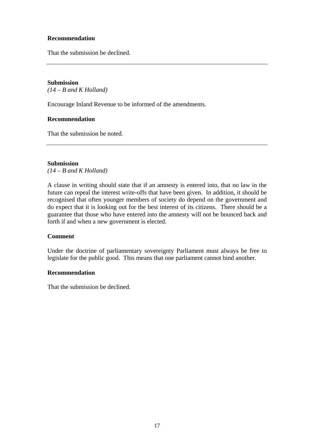## **Recommendation**

That the submission be declined.

# **Submission**

*(14 – B and K Holland)* 

Encourage Inland Revenue to be informed of the amendments.

#### **Recommendation**

That the submission be noted.

#### **Submission**

*(14 – B and K Holland)* 

A clause in writing should state that if an amnesty is entered into, that no law in the future can repeal the interest write-offs that have been given. In addition, it should be recognised that often younger members of society do depend on the government and do expect that it is looking out for the best interest of its citizens. There should be a guarantee that those who have entered into the amnesty will not be bounced back and forth if and when a new government is elected.

## **Comment**

Under the doctrine of parliamentary sovereignty Parliament must always be free to legislate for the public good. This means that one parliament cannot bind another.

#### **Recommendation**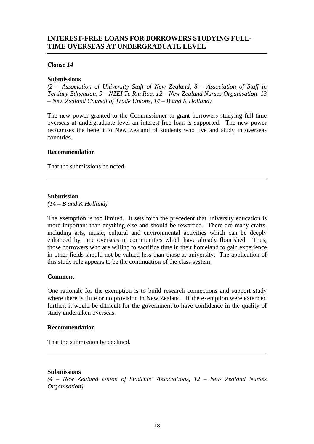# **INTEREST-FREE LOANS FOR BORROWERS STUDYING FULL-TIME OVERSEAS AT UNDERGRADUATE LEVEL**

## *Clause 14*

#### **Submissions**

*(2 – Association of University Staff of New Zealand, 8 – Association of Staff in Tertiary Education, 9 – NZEI Te Riu Roa, 12 – New Zealand Nurses Organisation, 13 – New Zealand Council of Trade Unions, 14 – B and K Holland)* 

The new power granted to the Commissioner to grant borrowers studying full-time overseas at undergraduate level an interest-free loan is supported. The new power recognises the benefit to New Zealand of students who live and study in overseas countries.

#### **Recommendation**

That the submissions be noted.

#### **Submission**

*(14 – B and K Holland)* 

The exemption is too limited. It sets forth the precedent that university education is more important than anything else and should be rewarded. There are many crafts, including arts, music, cultural and environmental activities which can be deeply enhanced by time overseas in communities which have already flourished. Thus, those borrowers who are willing to sacrifice time in their homeland to gain experience in other fields should not be valued less than those at university. The application of this study rule appears to be the continuation of the class system.

## **Comment**

One rationale for the exemption is to build research connections and support study where there is little or no provision in New Zealand. If the exemption were extended further, it would be difficult for the government to have confidence in the quality of study undertaken overseas.

#### **Recommendation**

That the submission be declined.

#### **Submissions**

*(4 – New Zealand Union of Students' Associations, 12 – New Zealand Nurses Organisation)*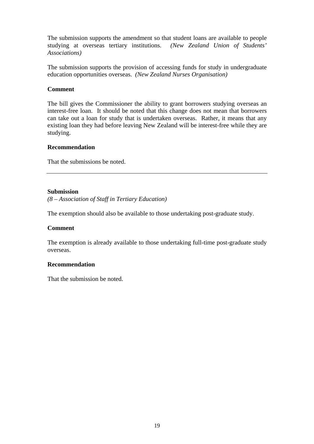The submission supports the amendment so that student loans are available to people studying at overseas tertiary institutions. *(New Zealand Union of Students' Associations)* 

The submission supports the provision of accessing funds for study in undergraduate education opportunities overseas. *(New Zealand Nurses Organisation)*

## **Comment**

The bill gives the Commissioner the ability to grant borrowers studying overseas an interest-free loan. It should be noted that this change does not mean that borrowers can take out a loan for study that is undertaken overseas. Rather, it means that any existing loan they had before leaving New Zealand will be interest-free while they are studying.

## **Recommendation**

That the submissions be noted.

## **Submission**

*(8 – Association of Staff in Tertiary Education)* 

The exemption should also be available to those undertaking post-graduate study.

## **Comment**

The exemption is already available to those undertaking full-time post-graduate study overseas.

## **Recommendation**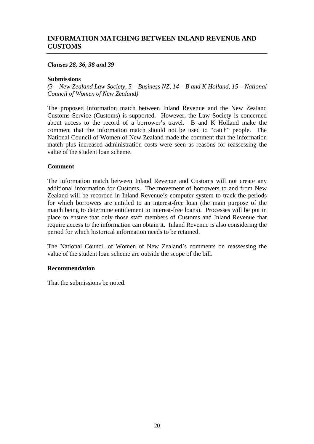# **INFORMATION MATCHING BETWEEN INLAND REVENUE AND CUSTOMS**

## *Clauses 28, 36, 38 and 39*

#### **Submissions**

*(3 – New Zealand Law Society, 5 – Business NZ, 14 – B and K Holland, 15 – National Council of Women of New Zealand)* 

The proposed information match between Inland Revenue and the New Zealand Customs Service (Customs) is supported. However, the Law Society is concerned about access to the record of a borrower's travel. B and K Holland make the comment that the information match should not be used to "catch" people. The National Council of Women of New Zealand made the comment that the information match plus increased administration costs were seen as reasons for reassessing the value of the student loan scheme.

#### **Comment**

The information match between Inland Revenue and Customs will not create any additional information for Customs. The movement of borrowers to and from New Zealand will be recorded in Inland Revenue's computer system to track the periods for which borrowers are entitled to an interest-free loan (the main purpose of the match being to determine entitlement to interest-free loans). Processes will be put in place to ensure that only those staff members of Customs and Inland Revenue that require access to the information can obtain it. Inland Revenue is also considering the period for which historical information needs to be retained.

The National Council of Women of New Zealand's comments on reassessing the value of the student loan scheme are outside the scope of the bill.

## **Recommendation**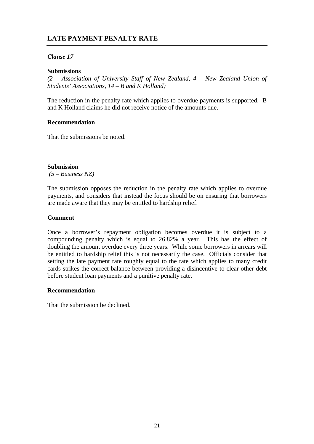# **LATE PAYMENT PENALTY RATE**

## *Clause 17*

## **Submissions**

*(2 – Association of University Staff of New Zealand, 4 – New Zealand Union of Students' Associations, 14 – B and K Holland)* 

The reduction in the penalty rate which applies to overdue payments is supported. B and K Holland claims he did not receive notice of the amounts due.

## **Recommendation**

That the submissions be noted.

## **Submission**

 *(5 – Business NZ)* 

The submission opposes the reduction in the penalty rate which applies to overdue payments, and considers that instead the focus should be on ensuring that borrowers are made aware that they may be entitled to hardship relief.

## **Comment**

Once a borrower's repayment obligation becomes overdue it is subject to a compounding penalty which is equal to 26.82% a year. This has the effect of doubling the amount overdue every three years. While some borrowers in arrears will be entitled to hardship relief this is not necessarily the case. Officials consider that setting the late payment rate roughly equal to the rate which applies to many credit cards strikes the correct balance between providing a disincentive to clear other debt before student loan payments and a punitive penalty rate.

## **Recommendation**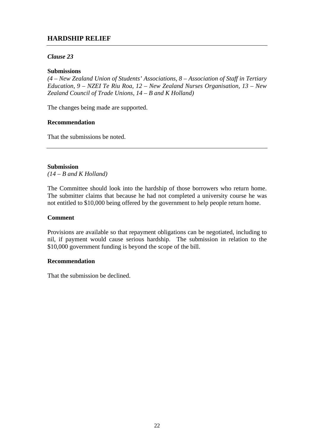# **HARDSHIP RELIEF**

## *Clause 23*

## **Submissions**

*(4 – New Zealand Union of Students' Associations, 8 – Association of Staff in Tertiary Education, 9 – NZEI Te Riu Roa, 12 – New Zealand Nurses Organisation, 13 – New Zealand Council of Trade Unions, 14 – B and K Holland)*

The changes being made are supported.

## **Recommendation**

That the submissions be noted.

#### **Submission**  *(14 – B and K Holland)*

The Committee should look into the hardship of those borrowers who return home. The submitter claims that because he had not completed a university course he was not entitled to \$10,000 being offered by the government to help people return home.

## **Comment**

Provisions are available so that repayment obligations can be negotiated, including to nil, if payment would cause serious hardship. The submission in relation to the \$10,000 government funding is beyond the scope of the bill.

## **Recommendation**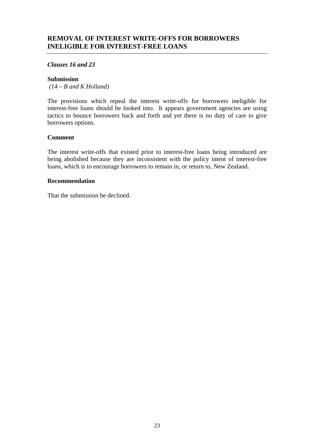## *Clauses 16 and 23*

## **Submission**

 *(14 – B and K Holland)* 

The provisions which repeal the interest write-offs for borrowers ineligible for interest-free loans should be looked into. It appears government agencies are using tactics to bounce borrowers back and forth and yet there is no duty of care to give borrowers options.

## **Comment**

The interest write-offs that existed prior to interest-free loans being introduced are being abolished because they are inconsistent with the policy intent of interest-free loans, which is to encourage borrowers to remain in, or return to, New Zealand.

## **Recommendation**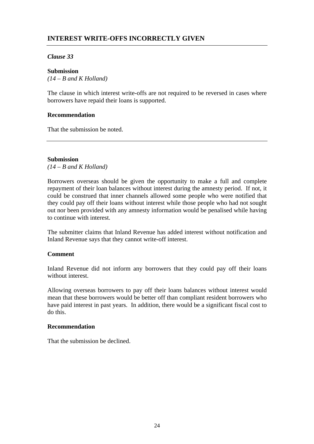## *Clause 33*

#### **Submission**  *(14 – B and K Holland)*

The clause in which interest write-offs are not required to be reversed in cases where borrowers have repaid their loans is supported.

## **Recommendation**

That the submission be noted.

## **Submission**

*(14 – B and K Holland)* 

Borrowers overseas should be given the opportunity to make a full and complete repayment of their loan balances without interest during the amnesty period. If not, it could be construed that inner channels allowed some people who were notified that they could pay off their loans without interest while those people who had not sought out nor been provided with any amnesty information would be penalised while having to continue with interest.

The submitter claims that Inland Revenue has added interest without notification and Inland Revenue says that they cannot write-off interest.

## **Comment**

Inland Revenue did not inform any borrowers that they could pay off their loans without interest.

Allowing overseas borrowers to pay off their loans balances without interest would mean that these borrowers would be better off than compliant resident borrowers who have paid interest in past years. In addition, there would be a significant fiscal cost to do this.

## **Recommendation**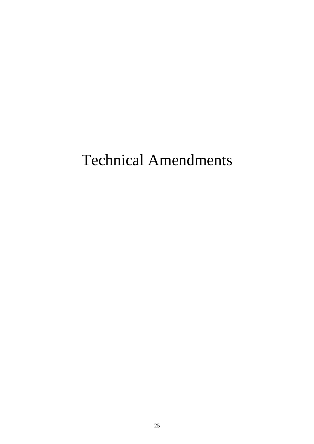# Technical Amendments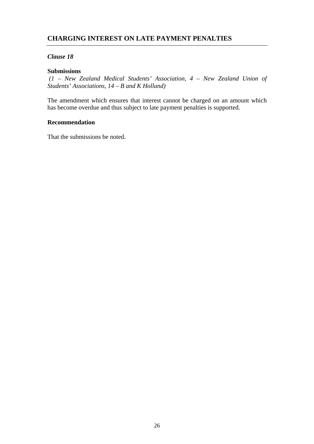# **CHARGING INTEREST ON LATE PAYMENT PENALTIES**

## *Clause 18*

#### **Submissions**

 *(1 – New Zealand Medical Students' Association, 4 – New Zealand Union of Students' Associations, 14 – B and K Holland)* 

The amendment which ensures that interest cannot be charged on an amount which has become overdue and thus subject to late payment penalties is supported.

## **Recommendation**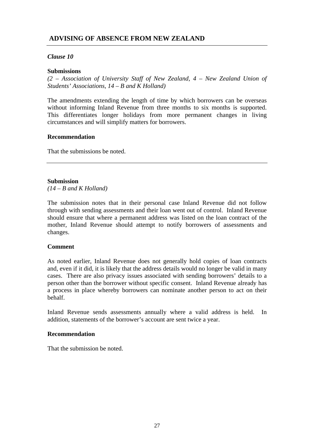## *Clause 10*

#### **Submissions**

*(2 – Association of University Staff of New Zealand, 4 – New Zealand Union of Students' Associations, 14 – B and K Holland)* 

The amendments extending the length of time by which borrowers can be overseas without informing Inland Revenue from three months to six months is supported. This differentiates longer holidays from more permanent changes in living circumstances and will simplify matters for borrowers.

#### **Recommendation**

That the submissions be noted.

#### **Submission**

*(14 – B and K Holland)* 

The submission notes that in their personal case Inland Revenue did not follow through with sending assessments and their loan went out of control. Inland Revenue should ensure that where a permanent address was listed on the loan contract of the mother, Inland Revenue should attempt to notify borrowers of assessments and changes.

## **Comment**

As noted earlier, Inland Revenue does not generally hold copies of loan contracts and, even if it did, it is likely that the address details would no longer be valid in many cases. There are also privacy issues associated with sending borrowers' details to a person other than the borrower without specific consent. Inland Revenue already has a process in place whereby borrowers can nominate another person to act on their behalf.

Inland Revenue sends assessments annually where a valid address is held. In addition, statements of the borrower's account are sent twice a year.

#### **Recommendation**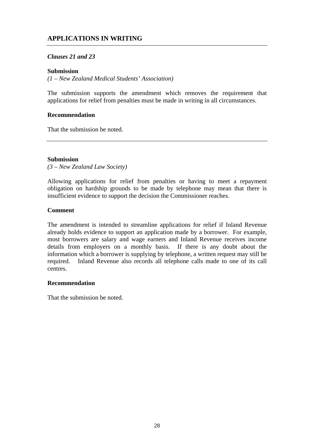# **APPLICATIONS IN WRITING**

## *Clauses 21 and 23*

#### **Submission**

*(1 – New Zealand Medical Students' Association)* 

The submission supports the amendment which removes the requirement that applications for relief from penalties must be made in writing in all circumstances.

#### **Recommendation**

That the submission be noted.

#### **Submission**

*(3 – New Zealand Law Society)* 

Allowing applications for relief from penalties or having to meet a repayment obligation on hardship grounds to be made by telephone may mean that there is insufficient evidence to support the decision the Commissioner reaches.

#### **Comment**

The amendment is intended to streamline applications for relief if Inland Revenue already holds evidence to support an application made by a borrower. For example, most borrowers are salary and wage earners and Inland Revenue receives income details from employers on a monthly basis. If there is any doubt about the information which a borrower is supplying by telephone, a written request may still be required. Inland Revenue also records all telephone calls made to one of its call centres.

#### **Recommendation**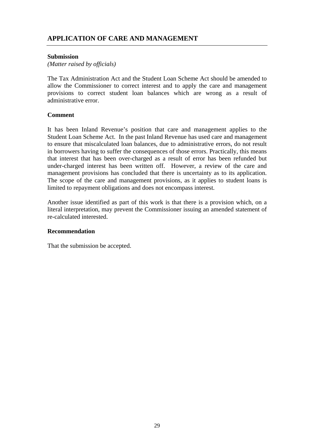## **Submission**

*(Matter raised by officials)* 

The Tax Administration Act and the Student Loan Scheme Act should be amended to allow the Commissioner to correct interest and to apply the care and management provisions to correct student loan balances which are wrong as a result of administrative error.

## **Comment**

It has been Inland Revenue's position that care and management applies to the Student Loan Scheme Act. In the past Inland Revenue has used care and management to ensure that miscalculated loan balances, due to administrative errors, do not result in borrowers having to suffer the consequences of those errors. Practically, this means that interest that has been over-charged as a result of error has been refunded but under-charged interest has been written off. However, a review of the care and management provisions has concluded that there is uncertainty as to its application. The scope of the care and management provisions, as it applies to student loans is limited to repayment obligations and does not encompass interest.

Another issue identified as part of this work is that there is a provision which, on a literal interpretation, may prevent the Commissioner issuing an amended statement of re-calculated interested.

## **Recommendation**

That the submission be accepted.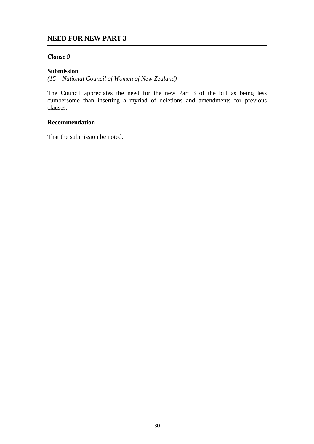# **NEED FOR NEW PART 3**

## *Clause 9*

#### **Submission**

*(15 – National Council of Women of New Zealand)* 

The Council appreciates the need for the new Part 3 of the bill as being less cumbersome than inserting a myriad of deletions and amendments for previous clauses.

## **Recommendation**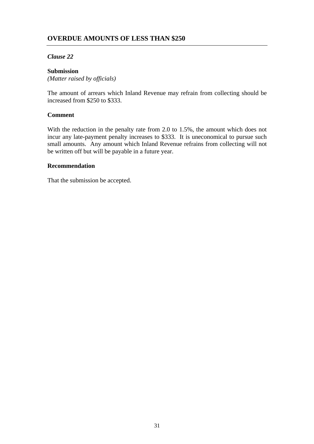## *Clause 22*

## **Submission**  *(Matter raised by officials)*

The amount of arrears which Inland Revenue may refrain from collecting should be increased from \$250 to \$333.

## **Comment**

With the reduction in the penalty rate from 2.0 to 1.5%, the amount which does not incur any late-payment penalty increases to \$333. It is uneconomical to pursue such small amounts. Any amount which Inland Revenue refrains from collecting will not be written off but will be payable in a future year.

## **Recommendation**

That the submission be accepted.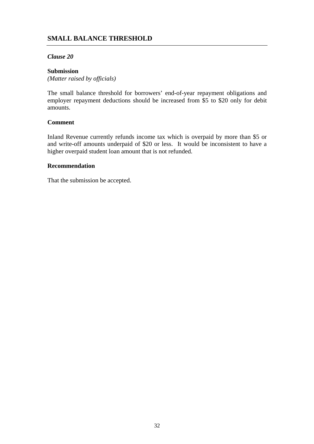# **SMALL BALANCE THRESHOLD**

## *Clause 20*

## **Submission**  *(Matter raised by officials)*

The small balance threshold for borrowers' end-of-year repayment obligations and employer repayment deductions should be increased from \$5 to \$20 only for debit amounts.

## **Comment**

Inland Revenue currently refunds income tax which is overpaid by more than \$5 or and write-off amounts underpaid of \$20 or less. It would be inconsistent to have a higher overpaid student loan amount that is not refunded.

#### **Recommendation**

That the submission be accepted.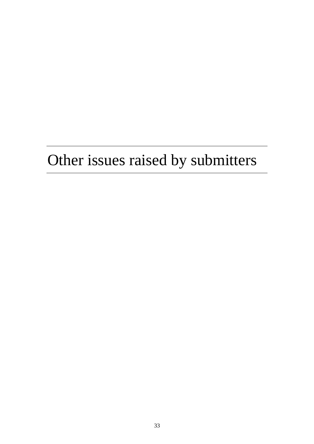# Other issues raised by submitters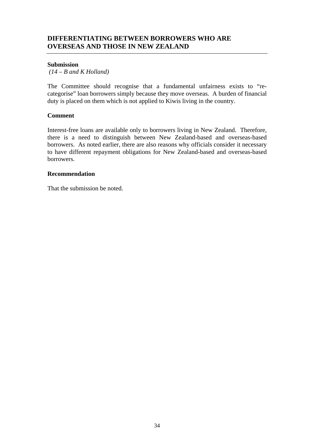# **DIFFERENTIATING BETWEEN BORROWERS WHO ARE OVERSEAS AND THOSE IN NEW ZEALAND**

#### **Submission**

 *(14 – B and K Holland)* 

The Committee should recognise that a fundamental unfairness exists to "recategorise" loan borrowers simply because they move overseas. A burden of financial duty is placed on them which is not applied to Kiwis living in the country.

## **Comment**

Interest-free loans are available only to borrowers living in New Zealand. Therefore, there is a need to distinguish between New Zealand-based and overseas-based borrowers. As noted earlier, there are also reasons why officials consider it necessary to have different repayment obligations for New Zealand-based and overseas-based borrowers.

#### **Recommendation**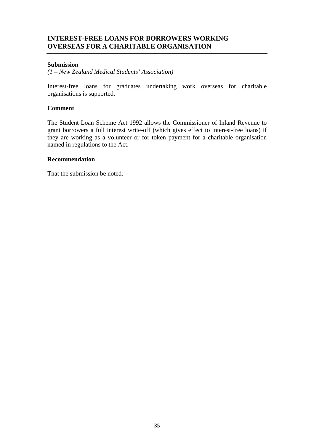# **INTEREST-FREE LOANS FOR BORROWERS WORKING OVERSEAS FOR A CHARITABLE ORGANISATION**

#### **Submission**

*(1 – New Zealand Medical Students' Association)* 

Interest-free loans for graduates undertaking work overseas for charitable organisations is supported.

## **Comment**

The Student Loan Scheme Act 1992 allows the Commissioner of Inland Revenue to grant borrowers a full interest write-off (which gives effect to interest-free loans) if they are working as a volunteer or for token payment for a charitable organisation named in regulations to the Act.

#### **Recommendation**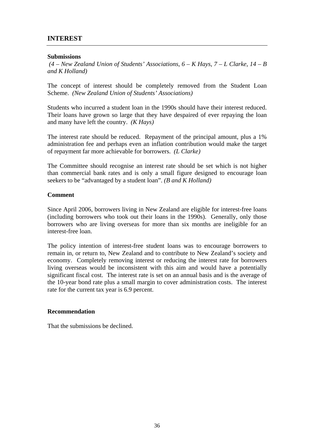## **INTEREST**

#### **Submissions**

 *(4 – New Zealand Union of Students' Associations, 6 – K Hays, 7 – L Clarke, 14 – B and K Holland)* 

The concept of interest should be completely removed from the Student Loan Scheme. *(New Zealand Union of Students' Associations)*

Students who incurred a student loan in the 1990s should have their interest reduced. Their loans have grown so large that they have despaired of ever repaying the loan and many have left the country. *(K Hays)*

The interest rate should be reduced. Repayment of the principal amount, plus a 1% administration fee and perhaps even an inflation contribution would make the target of repayment far more achievable for borrowers. *(L Clarke)*

The Committee should recognise an interest rate should be set which is not higher than commercial bank rates and is only a small figure designed to encourage loan seekers to be "advantaged by a student loan". *(B and K Holland)* 

#### **Comment**

Since April 2006, borrowers living in New Zealand are eligible for interest-free loans (including borrowers who took out their loans in the 1990s). Generally, only those borrowers who are living overseas for more than six months are ineligible for an interest-free loan.

The policy intention of interest-free student loans was to encourage borrowers to remain in, or return to, New Zealand and to contribute to New Zealand's society and economy. Completely removing interest or reducing the interest rate for borrowers living overseas would be inconsistent with this aim and would have a potentially significant fiscal cost. The interest rate is set on an annual basis and is the average of the 10-year bond rate plus a small margin to cover administration costs. The interest rate for the current tax year is 6.9 percent.

#### **Recommendation**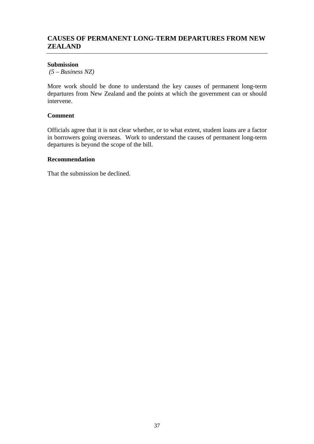# **CAUSES OF PERMANENT LONG-TERM DEPARTURES FROM NEW ZEALAND**

#### **Submission**

 *(5 – Business NZ)* 

More work should be done to understand the key causes of permanent long-term departures from New Zealand and the points at which the government can or should intervene.

## **Comment**

Officials agree that it is not clear whether, or to what extent, student loans are a factor in borrowers going overseas. Work to understand the causes of permanent long-term departures is beyond the scope of the bill.

## **Recommendation**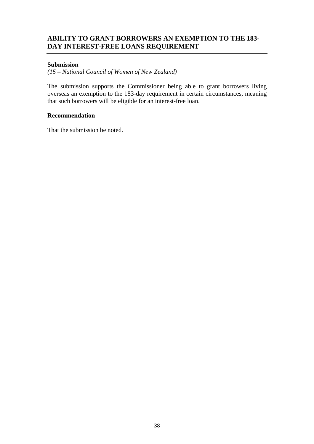# **ABILITY TO GRANT BORROWERS AN EXEMPTION TO THE 183- DAY INTEREST-FREE LOANS REQUIREMENT**

#### **Submission**

*(15 – National Council of Women of New Zealand)* 

The submission supports the Commissioner being able to grant borrowers living overseas an exemption to the 183-day requirement in certain circumstances, meaning that such borrowers will be eligible for an interest-free loan.

#### **Recommendation**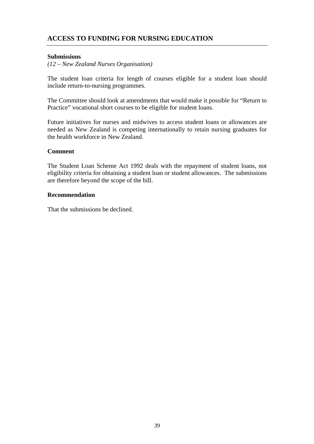# **ACCESS TO FUNDING FOR NURSING EDUCATION**

## **Submissions**

*(12 – New Zealand Nurses Organisation)* 

The student loan criteria for length of courses eligible for a student loan should include return-to-nursing programmes.

The Committee should look at amendments that would make it possible for "Return to Practice" vocational short courses to be eligible for student loans.

Future initiatives for nurses and midwives to access student loans or allowances are needed as New Zealand is competing internationally to retain nursing graduates for the health workforce in New Zealand.

#### **Comment**

The Student Loan Scheme Act 1992 deals with the repayment of student loans, not eligibility criteria for obtaining a student loan or student allowances. The submissions are therefore beyond the scope of the bill.

#### **Recommendation**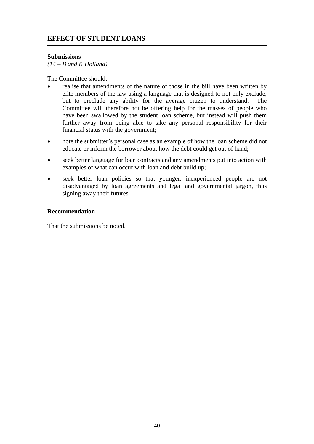## **Submissions**

*(14 – B and K Holland)* 

The Committee should:

- realise that amendments of the nature of those in the bill have been written by elite members of the law using a language that is designed to not only exclude, but to preclude any ability for the average citizen to understand. The Committee will therefore not be offering help for the masses of people who have been swallowed by the student loan scheme, but instead will push them further away from being able to take any personal responsibility for their financial status with the government;
- note the submitter's personal case as an example of how the loan scheme did not educate or inform the borrower about how the debt could get out of hand;
- seek better language for loan contracts and any amendments put into action with examples of what can occur with loan and debt build up;
- seek better loan policies so that younger, inexperienced people are not disadvantaged by loan agreements and legal and governmental jargon, thus signing away their futures.

## **Recommendation**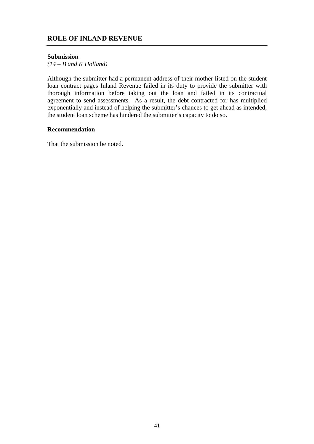## **ROLE OF INLAND REVENUE**

#### **Submission**

*(14 – B and K Holland)* 

Although the submitter had a permanent address of their mother listed on the student loan contract pages Inland Revenue failed in its duty to provide the submitter with thorough information before taking out the loan and failed in its contractual agreement to send assessments. As a result, the debt contracted for has multiplied exponentially and instead of helping the submitter's chances to get ahead as intended, the student loan scheme has hindered the submitter's capacity to do so.

## **Recommendation**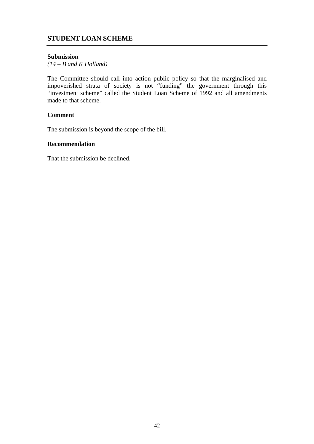# **STUDENT LOAN SCHEME**

#### **Submission**

*(14 – B and K Holland)* 

The Committee should call into action public policy so that the marginalised and impoverished strata of society is not "funding" the government through this "investment scheme" called the Student Loan Scheme of 1992 and all amendments made to that scheme.

## **Comment**

The submission is beyond the scope of the bill.

#### **Recommendation**